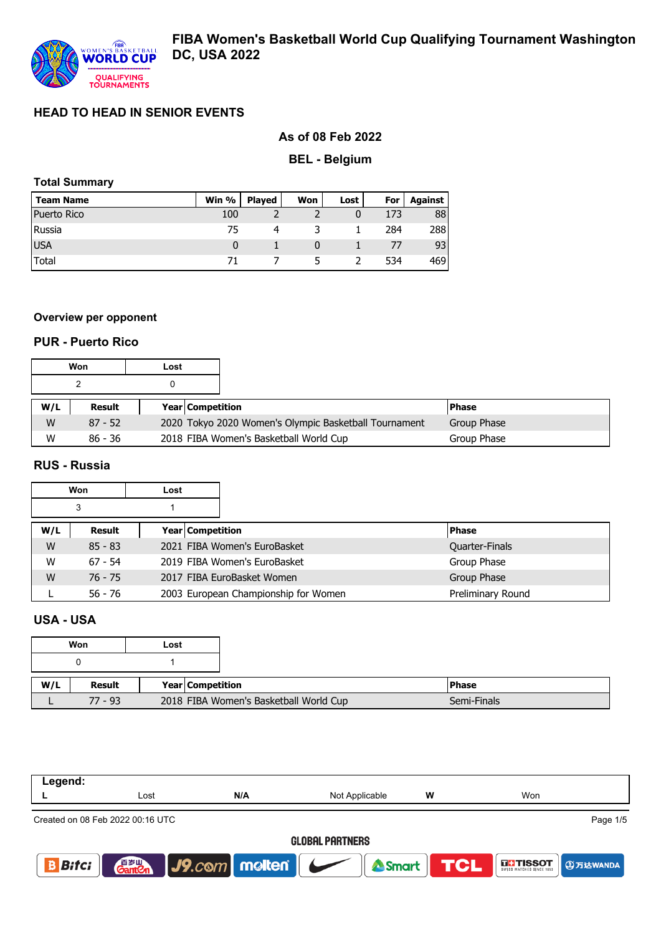

# **As of 08 Feb 2022**

#### **BEL - Belgium**

## **Total Summary**

| <b>Team Name</b> | Win % | <b>Played</b> | Won | Lost | For | Against |
|------------------|-------|---------------|-----|------|-----|---------|
| Puerto Rico      | 100   |               |     | 0    | 173 | 88      |
| Russia           | 75    |               |     |      | 284 | 2881    |
| <b>IUSA</b>      |       |               |     |      |     | 93 I    |
| Total            |       |               |     |      | 534 | 469 I   |

#### **Overview per opponent**

#### **PUR - Puerto Rico**

|     | Won       | Lost |                         |                                                       |              |  |
|-----|-----------|------|-------------------------|-------------------------------------------------------|--------------|--|
|     |           |      |                         |                                                       |              |  |
| W/L | Result    |      | <b>Year Competition</b> |                                                       | <b>Phase</b> |  |
| W   | $87 - 52$ |      |                         | 2020 Tokyo 2020 Women's Olympic Basketball Tournament | Group Phase  |  |
| W   | $86 - 36$ |      |                         | 2018 FIBA Women's Basketball World Cup                | Group Phase  |  |

### **RUS - Russia**

|     | Won       | Lost                    |                                      |                   |
|-----|-----------|-------------------------|--------------------------------------|-------------------|
|     | 3         |                         |                                      |                   |
| W/L | Result    | <b>Year Competition</b> |                                      | <b>Phase</b>      |
| W   | $85 - 83$ |                         | 2021 FIBA Women's EuroBasket         | Quarter-Finals    |
| W   | $67 - 54$ |                         | 2019 FIBA Women's EuroBasket         | Group Phase       |
| W   | 76 - 75   |                         | 2017 FIBA EuroBasket Women           | Group Phase       |
|     | 56 - 76   |                         | 2003 European Championship for Women | Preliminary Round |

# **USA - USA**

|     | Won       | Lost |                                        |  |
|-----|-----------|------|----------------------------------------|--|
|     |           |      |                                        |  |
| W/L | Result    |      | Year Competition                       |  |
|     | $77 - 93$ |      | 2018 FIBA Women's Basketball World Cup |  |

| Legend:                |                                  |                                                                                                                     |                     |  |                             |  |  |  |
|------------------------|----------------------------------|---------------------------------------------------------------------------------------------------------------------|---------------------|--|-----------------------------|--|--|--|
|                        | Lost                             | N/A                                                                                                                 | w<br>Not Applicable |  | Won                         |  |  |  |
|                        | Created on 08 Feb 2022 00:16 UTC |                                                                                                                     |                     |  | Page 1/5                    |  |  |  |
| <b>GLOBAL PARTNERS</b> |                                  |                                                                                                                     |                     |  |                             |  |  |  |
| <b>Bitci</b><br>B      |                                  | $\begin{array}{ c c c c c }\n\hline\n\text{Ganten} & \text{J9.} \text{com} & \text{mollen} & \text{O.} \end{array}$ | Smart TCL           |  | <b>THE TISSOT ① 万达WANDA</b> |  |  |  |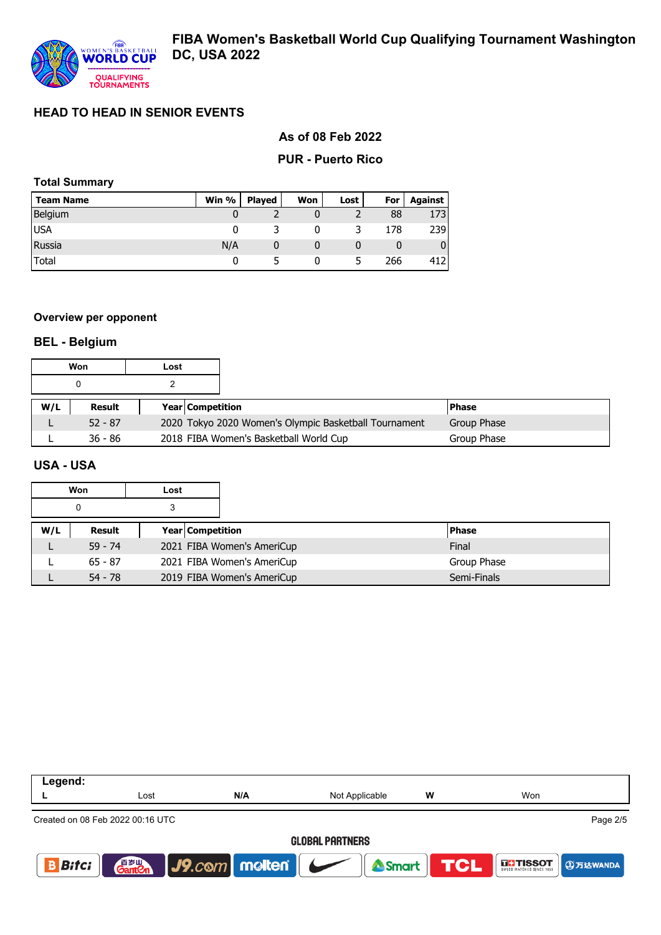

### **As of 08 Feb 2022**

#### **PUR - Puerto Rico**

## **Total Summary**

| <b>Team Name</b> | Win $%$ | Played | Won | Lost | For | Against |
|------------------|---------|--------|-----|------|-----|---------|
| Belgium          |         |        |     |      | 88  | 173 I   |
| <b>USA</b>       |         |        |     |      | 178 | 239 l   |
| Russia           | N/A     |        |     |      |     | 0       |
| Total            |         |        |     |      | 266 | 412 l   |

#### **Overview per opponent**

#### **BEL - Belgium**

|     | Won       | Lost |                         |                                                       |              |
|-----|-----------|------|-------------------------|-------------------------------------------------------|--------------|
|     |           |      |                         |                                                       |              |
| W/L | Result    |      | <b>Year Competition</b> |                                                       | <b>Phase</b> |
|     | $52 - 87$ |      |                         | 2020 Tokyo 2020 Women's Olympic Basketball Tournament | Group Phase  |
|     | $36 - 86$ |      |                         | 2018 FIBA Women's Basketball World Cup                | Group Phase  |

#### **USA - USA**

|     | Won       | Lost |                            |              |
|-----|-----------|------|----------------------------|--------------|
|     | 0         | 3    |                            |              |
| W/L | Result    |      | Year   Competition         | <b>Phase</b> |
|     | $59 - 74$ |      | 2021 FIBA Women's AmeriCup | Final        |
|     | $65 - 87$ |      | 2021 FIBA Women's AmeriCup | Group Phase  |
|     | $54 - 78$ |      | 2019 FIBA Women's AmeriCup | Semi-Finals  |

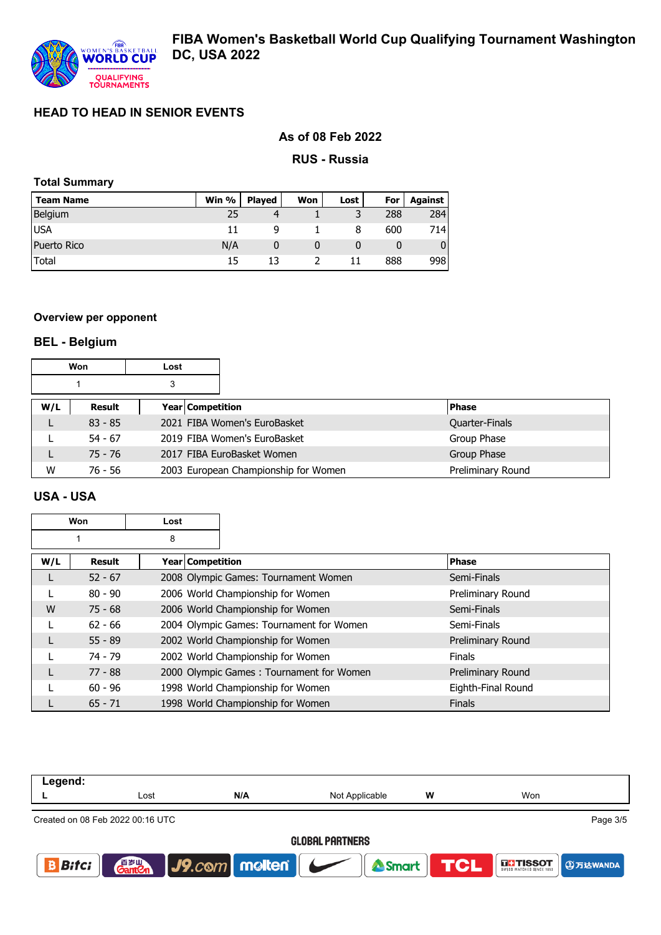

## **As of 08 Feb 2022**

#### **RUS - Russia**

### **Total Summary**

| <b>Team Name</b> | Win % | <b>Played</b> | Won | Lost | For | Against |
|------------------|-------|---------------|-----|------|-----|---------|
| Belgium          | 25    |               |     |      | 288 | 284     |
| <b>USA</b>       |       |               |     | 8    | 600 | 714I    |
| Puerto Rico      | N/A   |               |     |      |     | 01      |
| Total            | 15    |               |     |      | 888 | 998     |

### **Overview per opponent**

# **BEL - Belgium**

|     | Won       | Lost                    |                                      |                   |
|-----|-----------|-------------------------|--------------------------------------|-------------------|
|     |           |                         |                                      |                   |
| W/L | Result    | <b>Year Competition</b> |                                      | <b>Phase</b>      |
|     | $83 - 85$ |                         | 2021 FIBA Women's EuroBasket         | Quarter-Finals    |
|     | $54 - 67$ |                         | 2019 FIBA Women's EuroBasket         | Group Phase       |
|     | $75 - 76$ |                         | 2017 FIBA EuroBasket Women           | Group Phase       |
| W   | 76 - 56   |                         | 2003 European Championship for Women | Preliminary Round |

#### **USA - USA**

| Won<br>Lost |           |                  |                                          |                    |
|-------------|-----------|------------------|------------------------------------------|--------------------|
| 8           |           |                  |                                          |                    |
| W/L         | Result    | Year Competition |                                          | <b>Phase</b>       |
| L           | $52 - 67$ |                  | 2008 Olympic Games: Tournament Women     | Semi-Finals        |
|             | $80 - 90$ |                  | 2006 World Championship for Women        | Preliminary Round  |
| W           | $75 - 68$ |                  | 2006 World Championship for Women        | Semi-Finals        |
|             | $62 - 66$ |                  | 2004 Olympic Games: Tournament for Women | Semi-Finals        |
|             | $55 - 89$ |                  | 2002 World Championship for Women        | Preliminary Round  |
|             | 74 - 79   |                  | 2002 World Championship for Women        | <b>Finals</b>      |
|             | $77 - 88$ |                  | 2000 Olympic Games: Tournament for Women | Preliminary Round  |
|             | $60 - 96$ |                  | 1998 World Championship for Women        | Eighth-Final Round |
|             | $65 - 71$ |                  | 1998 World Championship for Women        | <b>Finals</b>      |

| Legend:                |                                  |               |                |           |                                                             |  |  |  |
|------------------------|----------------------------------|---------------|----------------|-----------|-------------------------------------------------------------|--|--|--|
|                        | Lost                             | N/A           | Not Applicable | W         | Won                                                         |  |  |  |
|                        | Created on 08 Feb 2022 00:16 UTC |               |                |           | Page 3/5                                                    |  |  |  |
| <b>GLOBAL PARTNERS</b> |                                  |               |                |           |                                                             |  |  |  |
| <b>Bitci</b>           | 百岁Ⅲ<br><b>Gant</b> en            | J9.com molten |                | Smart TCL | <b>THISSOT</b><br>swiss watches since that <b>① 万达WANDA</b> |  |  |  |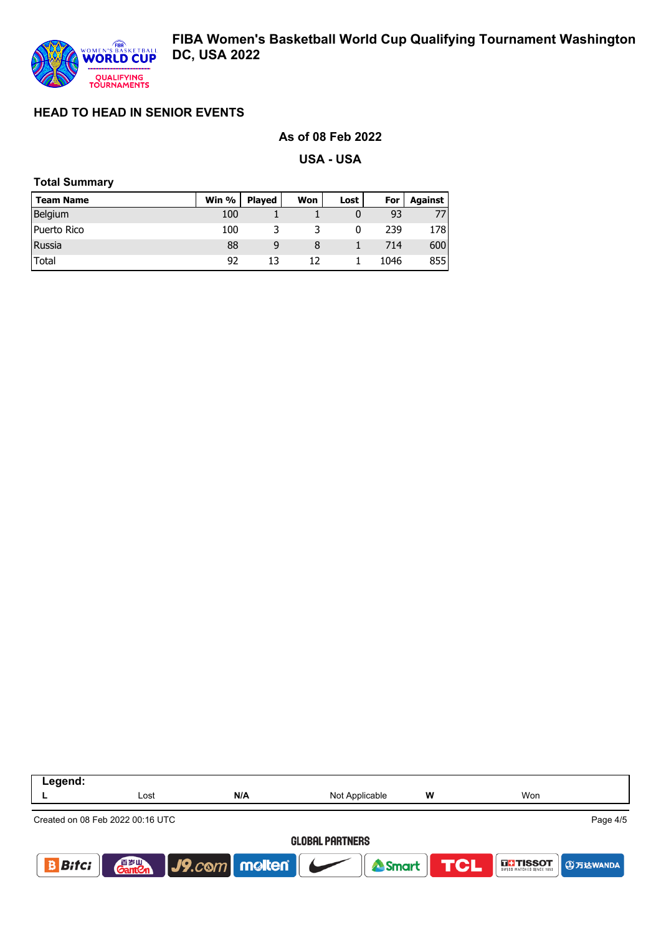

## **As of 08 Feb 2022**

**USA - USA**

## **Total Summary**

| <b>Team Name</b> | Win % | <b>Plaved</b> | Won | Lost | For  | Against |
|------------------|-------|---------------|-----|------|------|---------|
| Belgium          | 100   |               |     |      | 93   | 77      |
| Puerto Rico      | 100   |               |     |      | 239  | 178     |
| Russia           | 88    | 9             |     |      | 714  | 600     |
| Total            | 92    |               | 17  |      | 1046 | 855     |